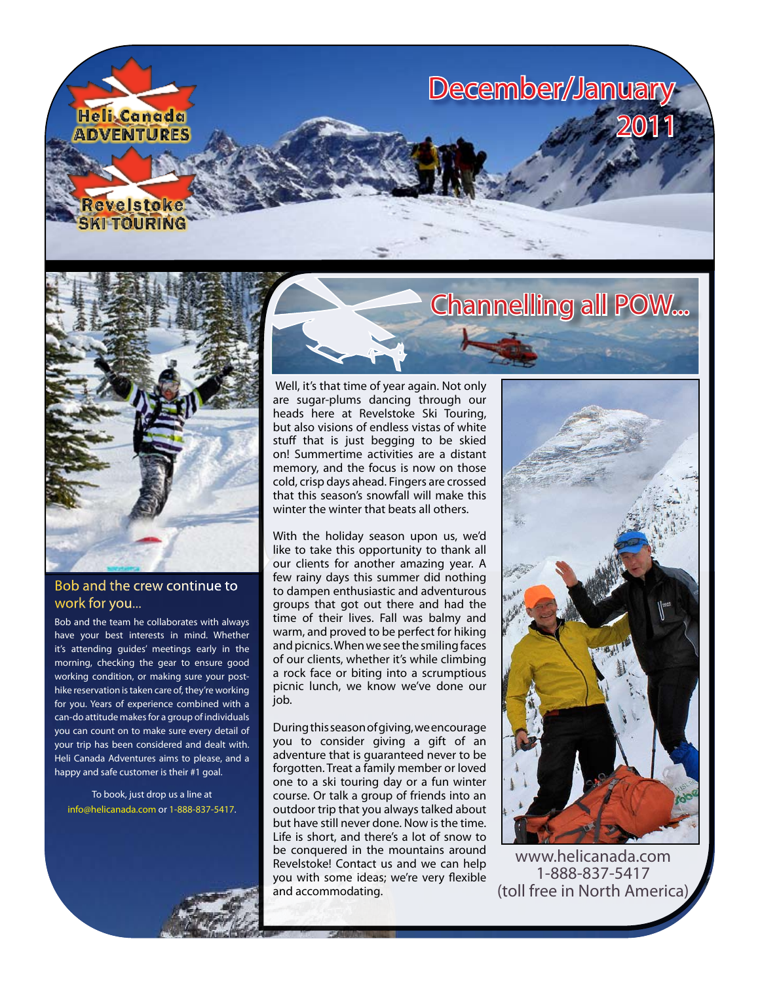



## Bob and the crew continue to work for you...

Bob and the team he collaborates with always have your best interests in mind. Whether it's attending guides' meetings early in the morning, checking the gear to ensure good working condition, or making sure your posthike reservation is taken care of, they're working for you. Years of experience combined with a can-do attitude makes for a group of individuals you can count on to make sure every detail of your trip has been considered and dealt with. Heli Canada Adventures aims to please, and a happy and safe customer is their #1 goal.

To book, just drop us a line at [info@helicanada.com](mailto:info@helicanada.com) or 1-888-837-5417.



 Well, it's that time of year again. Not only are sugar-plums dancing through our heads here at Revelstoke Ski Touring, but also visions of endless vistas of white stuff that is just begging to be skied on! Summertime activities are a distant memory, and the focus is now on those cold, crisp days ahead. Fingers are crossed that this season's snowfall will make this winter the winter that beats all others.

With the holiday season upon us, we'd like to take this opportunity to thank all our clients for another amazing year. A few rainy days this summer did nothing to dampen enthusiastic and adventurous groups that got out there and had the time of their lives. Fall was balmy and warm, and proved to be perfect for hiking and picnics. When we see the smiling faces of our clients, whether it's while climbing a rock face or biting into a scrumptious picnic lunch, we know we've done our job.

During this season of giving, we encourage you to consider giving a gift of an adventure that is guaranteed never to be forgotten. Treat a family member or loved one to a ski touring day or a fun winter course. Or talk a group of friends into an outdoor trip that you always talked about but have still never done. Now is the time. Life is short, and there's a lot of snow to be conquered in the mountains around Revelstoke! Contact us and we can help you with some ideas; we're very flexible and accommodating.



[www.helicanada.com](http://www.helicanada.com) 1-888-837-5417 (toll free in North America)